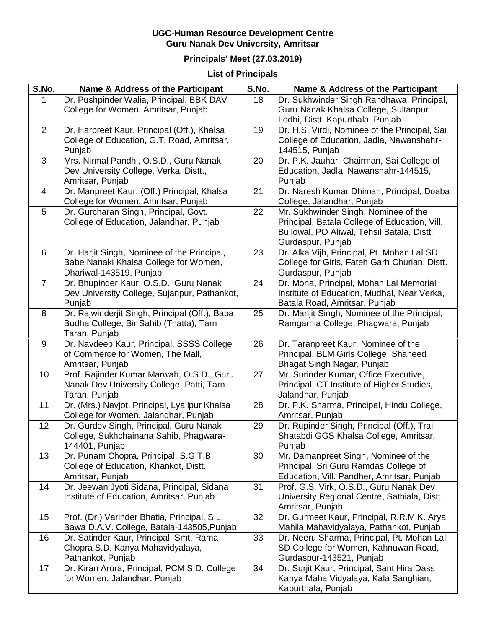## **UGC-Human Resource Development Centre Guru Nanak Dev University, Amritsar**

## **Principals' Meet (27.03.2019)**

## **List of Principals**

| S.No.          | Name & Address of the Participant                                            | S.No. | Name & Address of the Participant                                                  |
|----------------|------------------------------------------------------------------------------|-------|------------------------------------------------------------------------------------|
| 1              | Dr. Pushpinder Walia, Principal, BBK DAV                                     | 18    | Dr. Sukhwinder Singh Randhawa, Principal,                                          |
|                | College for Women, Amritsar, Punjab                                          |       | Guru Nanak Khalsa College, Sultanpur                                               |
|                |                                                                              |       | Lodhi, Distt. Kapurthala, Punjab                                                   |
| 2              | Dr. Harpreet Kaur, Principal (Off.), Khalsa                                  | 19    | Dr. H.S. Virdi, Nominee of the Principal, Sai                                      |
|                | College of Education, G.T. Road, Amritsar,                                   |       | College of Education, Jadla, Nawanshahr-                                           |
|                | Punjab                                                                       |       | 144515, Punjab                                                                     |
| 3              | Mrs. Nirmal Pandhi, O.S.D., Guru Nanak                                       | 20    | Dr. P.K. Jauhar, Chairman, Sai College of                                          |
|                | Dev University College, Verka, Distt.,                                       |       | Education, Jadla, Nawanshahr-144515,                                               |
|                | Amritsar, Punjab                                                             |       | Punjab                                                                             |
| $\overline{4}$ | Dr. Manpreet Kaur, (Off.) Principal, Khalsa                                  | 21    | Dr. Naresh Kumar Dhiman, Principal, Doaba                                          |
| 5              | College for Women, Amritsar, Punjab<br>Dr. Gurcharan Singh, Principal, Govt. | 22    | College, Jalandhar, Punjab<br>Mr. Sukhwinder Singh, Nominee of the                 |
|                | College of Education, Jalandhar, Punjab                                      |       | Principal, Batala College of Education, Vill.                                      |
|                |                                                                              |       | Bullowal, PO Aliwal, Tehsil Batala, Distt.                                         |
|                |                                                                              |       | Gurdaspur, Punjab                                                                  |
| 6              | Dr. Harjit Singh, Nominee of the Principal,                                  | 23    | Dr. Alka Vijh, Principal, Pt. Mohan Lal SD                                         |
|                | Babe Nanaki Khalsa College for Women,                                        |       | College for Girls, Fateh Garh Churian, Distt.                                      |
|                | Dhariwal-143519, Punjab                                                      |       | Gurdaspur, Punjab                                                                  |
| $\overline{7}$ | Dr. Bhupinder Kaur, O.S.D., Guru Nanak                                       | 24    | Dr. Mona, Principal, Mohan Lal Memorial                                            |
|                | Dev University College, Sujanpur, Pathankot,                                 |       | Institute of Education, Mudhal, Near Verka,                                        |
|                | Punjab                                                                       |       | Batala Road, Amritsar, Punjab                                                      |
| 8              | Dr. Rajwinderjit Singh, Principal (Off.), Baba                               | 25    | Dr. Manjit Singh, Nominee of the Principal,                                        |
|                | Budha College, Bir Sahib (Thatta), Tarn                                      |       | Ramgarhia College, Phagwara, Punjab                                                |
|                | Taran, Punjab                                                                |       |                                                                                    |
| 9              | Dr. Navdeep Kaur, Principal, SSSS College                                    | 26    | Dr. Taranpreet Kaur, Nominee of the                                                |
|                | of Commerce for Women, The Mall,                                             |       | Principal, BLM Girls College, Shaheed                                              |
|                | Amritsar, Punjab                                                             |       | Bhagat Singh Nagar, Punjab                                                         |
| 10             | Prof. Rajinder Kumar Marwah, O.S.D., Guru                                    | 27    | Mr. Surinder Kumar, Office Executive,                                              |
|                | Nanak Dev University College, Patti, Tarn<br>Taran, Punjab                   |       | Principal, CT Institute of Higher Studies,<br>Jalandhar, Punjab                    |
| 11             | Dr. (Mrs.) Navjot, Principal, Lyallpur Khalsa                                | 28    | Dr. P.K. Sharma, Principal, Hindu College,                                         |
|                | College for Women, Jalandhar, Punjab                                         |       | Amritsar, Punjab                                                                   |
| 12             | Dr. Gurdev Singh, Principal, Guru Nanak                                      | 29    | Dr. Rupinder Singh, Principal (Off.), Trai                                         |
|                | College, Sukhchainana Sahib, Phagwara-                                       |       | Shatabdi GGS Khalsa College, Amritsar,                                             |
|                | 144401, Punjab                                                               |       | Punjab                                                                             |
| 13             | Dr. Punam Chopra, Principal, S.G.T.B.                                        | 30    | Mr. Damanpreet Singh, Nominee of the                                               |
|                | College of Education, Khankot, Distt.                                        |       | Principal, Sri Guru Ramdas College of                                              |
|                | Amritsar, Punjab                                                             |       | Education, Vill. Pandher, Amritsar, Punjab                                         |
| 14             | Dr. Jeewan Jyoti Sidana, Principal, Sidana                                   | 31    | Prof. G.S. Virk, O.S.D., Guru Nanak Dev                                            |
|                | Institute of Education, Amritsar, Punjab                                     |       | University Regional Centre, Sathiala, Distt.                                       |
|                |                                                                              |       | Amritsar, Punjab                                                                   |
| 15             | Prof. (Dr.) Varinder Bhatia, Principal, S.L.                                 | 32    | Dr. Gurmeet Kaur, Principal, R.R.M.K. Arya                                         |
|                | Bawa D.A.V. College, Batala-143505, Punjab                                   |       | Mahila Mahavidyalaya, Pathankot, Punjab                                            |
| 16             | Dr. Satinder Kaur, Principal, Smt. Rama                                      | 33    | Dr. Neeru Sharma, Principal, Pt. Mohan Lal                                         |
|                | Chopra S.D. Kanya Mahavidyalaya,                                             |       | SD College for Women, Kahnuwan Road,                                               |
|                | Pathankot, Punjab                                                            |       | Gurdaspur-143521, Punjab                                                           |
| 17             | Dr. Kiran Arora, Principal, PCM S.D. College<br>for Women, Jalandhar, Punjab | 34    | Dr. Surjit Kaur, Principal, Sant Hira Dass<br>Kanya Maha Vidyalaya, Kala Sanghian, |
|                |                                                                              |       | Kapurthala, Punjab                                                                 |
|                |                                                                              |       |                                                                                    |